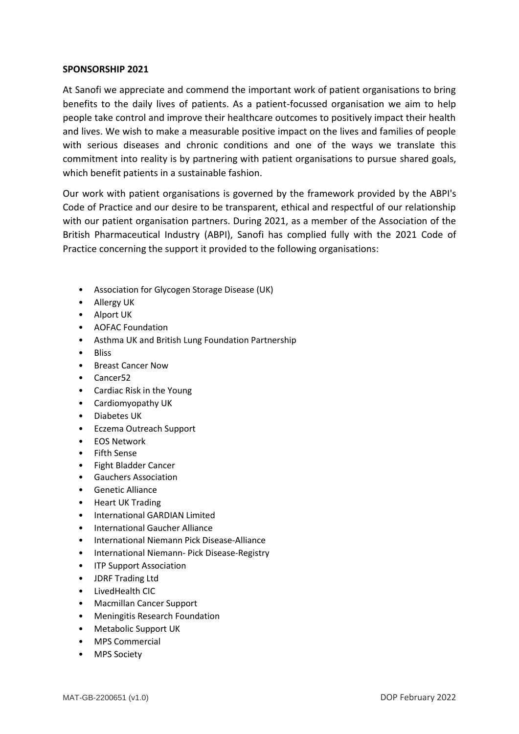## **SPONSORSHIP 2021**

At Sanofi we appreciate and commend the important work of patient organisations to bring benefits to the daily lives of patients. As a patient-focussed organisation we aim to help people take control and improve their healthcare outcomes to positively impact their health and lives. We wish to make a measurable positive impact on the lives and families of people with serious diseases and chronic conditions and one of the ways we translate this commitment into reality is by partnering with patient organisations to pursue shared goals, which benefit patients in a sustainable fashion.

Our work with patient organisations is governed by the framework provided by the ABPI's Code of Practice and our desire to be transparent, ethical and respectful of our relationship with our patient organisation partners. During 2021, as a member of the Association of the British Pharmaceutical Industry (ABPI), Sanofi has complied fully with the 2021 Code of Practice concerning the support it provided to the following organisations:

- Association for Glycogen Storage Disease (UK)
- Allergy UK
- Alport UK
- AOFAC Foundation
- Asthma UK and British Lung Foundation Partnership
- Bliss
- Breast Cancer Now
- Cancer52
- Cardiac Risk in the Young
- Cardiomyopathy UK
- Diabetes UK
- Eczema Outreach Support
- EOS Network
- Fifth Sense
- Fight Bladder Cancer
- Gauchers Association
- Genetic Alliance
- Heart UK Trading
- International GARDIAN Limited
- International Gaucher Alliance
- International Niemann Pick Disease-Alliance
- International Niemann- Pick Disease-Registry
- ITP Support Association
- JDRF Trading Ltd
- LivedHealth CIC
- Macmillan Cancer Support
- Meningitis Research Foundation
- Metabolic Support UK
- MPS Commercial
- MPS Society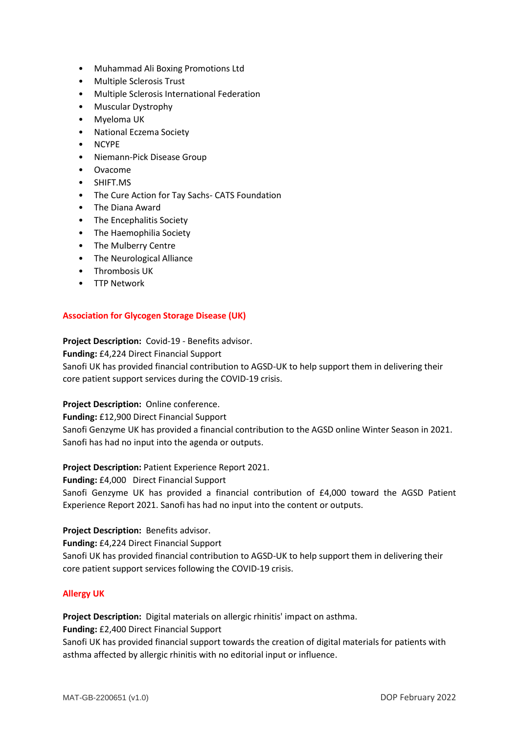- Muhammad Ali Boxing Promotions Ltd
- Multiple Sclerosis Trust
- Multiple Sclerosis International Federation
- Muscular Dystrophy
- Myeloma UK
- National Eczema Society
- NCYPE
- Niemann-Pick Disease Group
- Ovacome
- SHIFT.MS
- The Cure Action for Tay Sachs- CATS Foundation
- The Diana Award
- The Encephalitis Society
- The Haemophilia Society
- The Mulberry Centre
- The Neurological Alliance
- Thrombosis UK
- TTP Network

# **Association for Glycogen Storage Disease (UK)**

## **Project Description:** Covid-19 - Benefits advisor.

**Funding:** £4,224 Direct Financial Support

Sanofi UK has provided financial contribution to AGSD-UK to help support them in delivering their core patient support services during the COVID-19 crisis.

## **Project Description:** Online conference.

**Funding:** £12,900 Direct Financial Support

Sanofi Genzyme UK has provided a financial contribution to the AGSD online Winter Season in 2021. Sanofi has had no input into the agenda or outputs.

## **Project Description:** Patient Experience Report 2021.

**Funding:** £4,000 Direct Financial Support

Sanofi Genzyme UK has provided a financial contribution of £4,000 toward the AGSD Patient Experience Report 2021. Sanofi has had no input into the content or outputs.

## **Project Description:** Benefits advisor.

**Funding:** £4,224 Direct Financial Support

Sanofi UK has provided financial contribution to AGSD-UK to help support them in delivering their core patient support services following the COVID-19 crisis.

## **Allergy UK**

**Project Description:** Digital materials on allergic rhinitis' impact on asthma.

**Funding:** £2,400 Direct Financial Support

Sanofi UK has provided financial support towards the creation of digital materials for patients with asthma affected by allergic rhinitis with no editorial input or influence.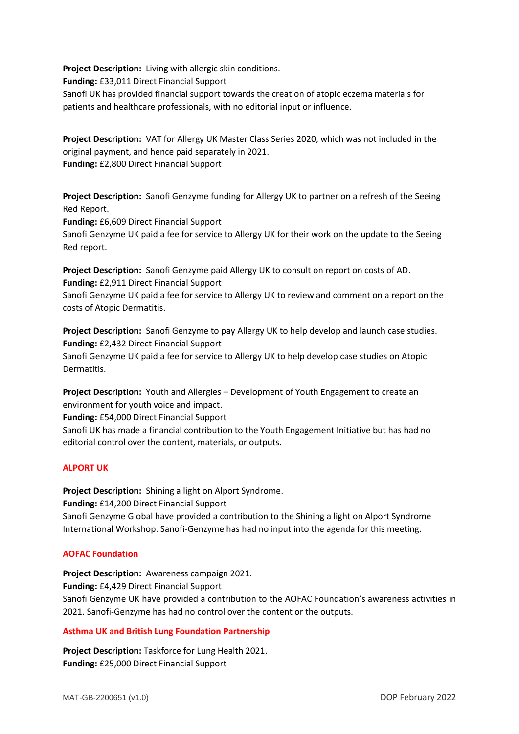**Project Description:** Living with allergic skin conditions. **Funding:** £33,011 Direct Financial Support Sanofi UK has provided financial support towards the creation of atopic eczema materials for patients and healthcare professionals, with no editorial input or influence.

**Project Description:** VAT for Allergy UK Master Class Series 2020, which was not included in the original payment, and hence paid separately in 2021. **Funding:** £2,800 Direct Financial Support

**Project Description:** Sanofi Genzyme funding for Allergy UK to partner on a refresh of the Seeing Red Report.

**Funding:** £6,609 Direct Financial Support

Sanofi Genzyme UK paid a fee for service to Allergy UK for their work on the update to the Seeing Red report.

**Project Description:** Sanofi Genzyme paid Allergy UK to consult on report on costs of AD. **Funding:** £2,911 Direct Financial Support

Sanofi Genzyme UK paid a fee for service to Allergy UK to review and comment on a report on the costs of Atopic Dermatitis.

**Project Description:** Sanofi Genzyme to pay Allergy UK to help develop and launch case studies. **Funding:** £2,432 Direct Financial Support Sanofi Genzyme UK paid a fee for service to Allergy UK to help develop case studies on Atopic Dermatitis.

**Project Description:** Youth and Allergies – Development of Youth Engagement to create an environment for youth voice and impact.

**Funding:** £54,000 Direct Financial Support

Sanofi UK has made a financial contribution to the Youth Engagement Initiative but has had no editorial control over the content, materials, or outputs.

## **ALPORT UK**

**Project Description:** Shining a light on Alport Syndrome. **Funding:** £14,200 Direct Financial Support Sanofi Genzyme Global have provided a contribution to the Shining a light on Alport Syndrome International Workshop. Sanofi-Genzyme has had no input into the agenda for this meeting.

#### **AOFAC Foundation**

**Project Description:** Awareness campaign 2021. **Funding:** £4,429 Direct Financial Support Sanofi Genzyme UK have provided a contribution to the AOFAC Foundation's awareness activities in 2021. Sanofi-Genzyme has had no control over the content or the outputs.

#### **Asthma UK and British Lung Foundation Partnership**

**Project Description:** Taskforce for Lung Health 2021. **Funding:** £25,000 Direct Financial Support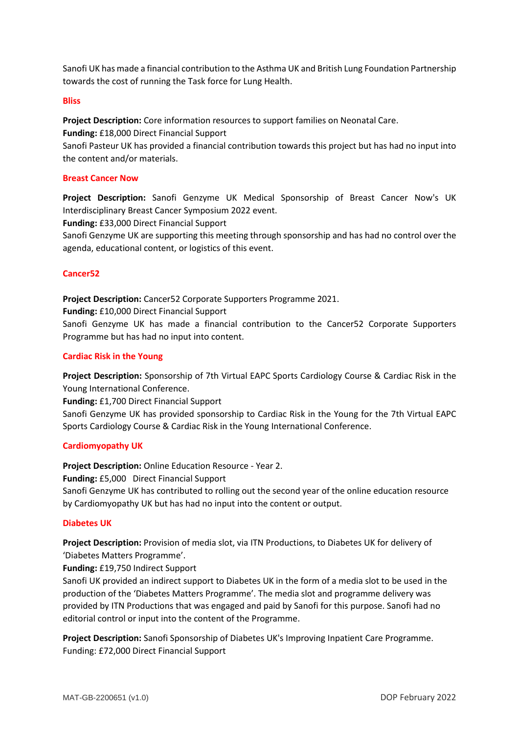Sanofi UK has made a financial contribution to the Asthma UK and British Lung Foundation Partnership towards the cost of running the Task force for Lung Health.

### **Bliss**

**Project Description:** Core information resources to support families on Neonatal Care. **Funding:** £18,000 Direct Financial Support

Sanofi Pasteur UK has provided a financial contribution towards this project but has had no input into the content and/or materials.

### **Breast Cancer Now**

**Project Description:** Sanofi Genzyme UK Medical Sponsorship of Breast Cancer Now's UK Interdisciplinary Breast Cancer Symposium 2022 event.

**Funding:** £33,000 Direct Financial Support

Sanofi Genzyme UK are supporting this meeting through sponsorship and has had no control over the agenda, educational content, or logistics of this event.

## **Cancer52**

**Project Description:** Cancer52 Corporate Supporters Programme 2021.

**Funding:** £10,000 Direct Financial Support

Sanofi Genzyme UK has made a financial contribution to the Cancer52 Corporate Supporters Programme but has had no input into content.

#### **Cardiac Risk in the Young**

**Project Description:** Sponsorship of 7th Virtual EAPC Sports Cardiology Course & Cardiac Risk in the Young International Conference.

**Funding:** £1,700 Direct Financial Support

Sanofi Genzyme UK has provided sponsorship to Cardiac Risk in the Young for the 7th Virtual EAPC Sports Cardiology Course & Cardiac Risk in the Young International Conference.

## **Cardiomyopathy UK**

**Project Description:** Online Education Resource - Year 2.

**Funding:** £5,000 Direct Financial Support

Sanofi Genzyme UK has contributed to rolling out the second year of the online education resource by Cardiomyopathy UK but has had no input into the content or output.

#### **Diabetes UK**

**Project Description:** Provision of media slot, via ITN Productions, to Diabetes UK for delivery of 'Diabetes Matters Programme'.

**Funding:** £19,750 Indirect Support

Sanofi UK provided an indirect support to Diabetes UK in the form of a media slot to be used in the production of the 'Diabetes Matters Programme'. The media slot and programme delivery was provided by ITN Productions that was engaged and paid by Sanofi for this purpose. Sanofi had no editorial control or input into the content of the Programme.

**Project Description:** Sanofi Sponsorship of Diabetes UK's Improving Inpatient Care Programme. Funding: £72,000 Direct Financial Support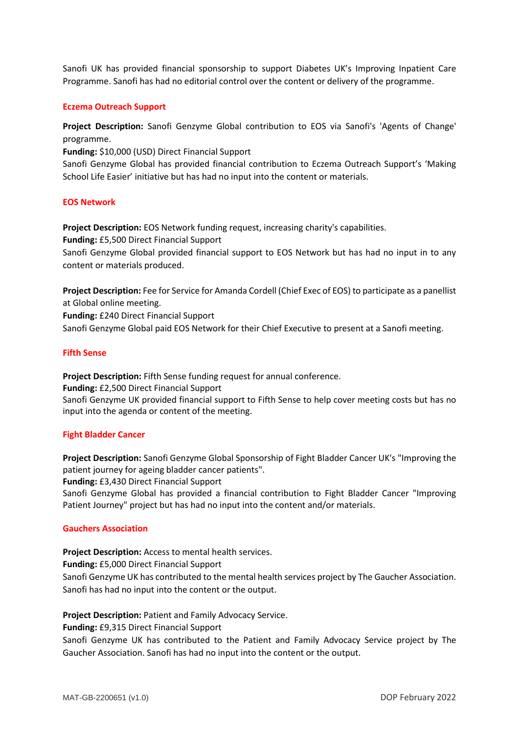Sanofi UK has provided financial sponsorship to support Diabetes UK's Improving Inpatient Care Programme. Sanofi has had no editorial control over the content or delivery of the programme.

#### **Eczema Outreach Support**

**Project Description:** Sanofi Genzyme Global contribution to EOS via Sanofi's 'Agents of Change' programme.

**Funding:** \$10,000 (USD) Direct Financial Support

Sanofi Genzyme Global has provided financial contribution to Eczema Outreach Support's 'Making School Life Easier' initiative but has had no input into the content or materials.

## **EOS Network**

**Project Description:** EOS Network funding request, increasing charity's capabilities. **Funding:** £5,500 Direct Financial Support Sanofi Genzyme Global provided financial support to EOS Network but has had no input in to any content or materials produced.

**Project Description:** Fee for Service for Amanda Cordell (Chief Exec of EOS) to participate as a panellist at Global online meeting. **Funding:** £240 Direct Financial Support Sanofi Genzyme Global paid EOS Network for their Chief Executive to present at a Sanofi meeting.

#### **Fifth Sense**

**Project Description:** Fifth Sense funding request for annual conference. **Funding:** £2,500 Direct Financial Support Sanofi Genzyme UK provided financial support to Fifth Sense to help cover meeting costs but has no input into the agenda or content of the meeting.

#### **Fight Bladder Cancer**

**Project Description:** Sanofi Genzyme Global Sponsorship of Fight Bladder Cancer UK's "Improving the patient journey for ageing bladder cancer patients". **Funding:** £3,430 Direct Financial Support Sanofi Genzyme Global has provided a financial contribution to Fight Bladder Cancer "Improving Patient Journey" project but has had no input into the content and/or materials.

#### **Gauchers Association**

**Project Description:** Access to mental health services.

**Funding:** £5,000 Direct Financial Support

Sanofi Genzyme UK has contributed to the mental health services project by The Gaucher Association. Sanofi has had no input into the content or the output.

**Project Description:** Patient and Family Advocacy Service.

**Funding:** £9,315 Direct Financial Support

Sanofi Genzyme UK has contributed to the Patient and Family Advocacy Service project by The Gaucher Association. Sanofi has had no input into the content or the output.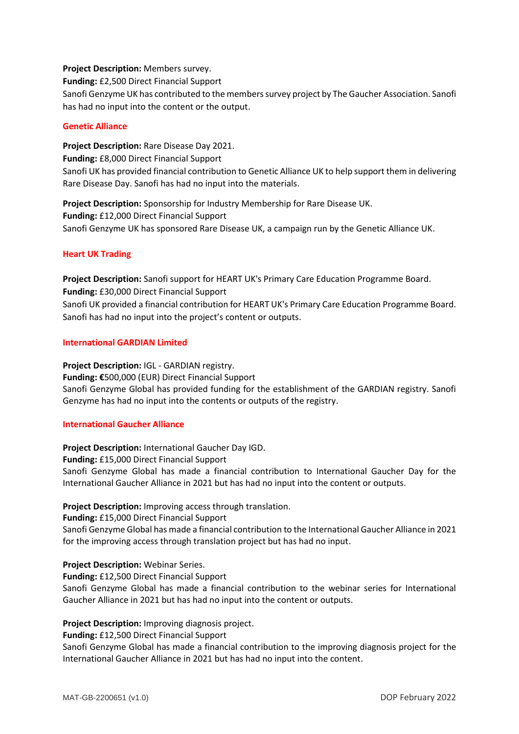### **Project Description:** Members survey.

**Funding:** £2,500 Direct Financial Support

Sanofi Genzyme UK has contributed to the members survey project by The Gaucher Association. Sanofi has had no input into the content or the output.

### **Genetic Alliance**

**Project Description:** Rare Disease Day 2021. **Funding:** £8,000 Direct Financial Support Sanofi UK has provided financial contribution to Genetic Alliance UK to help support them in delivering Rare Disease Day. Sanofi has had no input into the materials.

**Project Description:** Sponsorship for Industry Membership for Rare Disease UK. **Funding:** £12,000 Direct Financial Support Sanofi Genzyme UK has sponsored Rare Disease UK, a campaign run by the Genetic Alliance UK.

## **Heart UK Trading**

**Project Description:** Sanofi support for HEART UK's Primary Care Education Programme Board. **Funding:** £30,000 Direct Financial Support Sanofi UK provided a financial contribution for HEART UK's Primary Care Education Programme Board. Sanofi has had no input into the project's content or outputs.

#### **International GARDIAN Limited**

**Project Description:** IGL - GARDIAN registry. **Funding: €**500,000 (EUR) Direct Financial Support Sanofi Genzyme Global has provided funding for the establishment of the GARDIAN registry. Sanofi Genzyme has had no input into the contents or outputs of the registry.

## **International Gaucher Alliance**

**Project Description:** International Gaucher Day IGD.

**Funding:** £15,000 Direct Financial Support

Sanofi Genzyme Global has made a financial contribution to International Gaucher Day for the International Gaucher Alliance in 2021 but has had no input into the content or outputs.

#### **Project Description:** Improving access through translation.

**Funding:** £15,000 Direct Financial Support

Sanofi Genzyme Global has made a financial contribution to the International Gaucher Alliance in 2021 for the improving access through translation project but has had no input.

**Project Description:** Webinar Series.

**Funding:** £12,500 Direct Financial Support

Sanofi Genzyme Global has made a financial contribution to the webinar series for International Gaucher Alliance in 2021 but has had no input into the content or outputs.

**Project Description:** Improving diagnosis project.

**Funding:** £12,500 Direct Financial Support

Sanofi Genzyme Global has made a financial contribution to the improving diagnosis project for the International Gaucher Alliance in 2021 but has had no input into the content.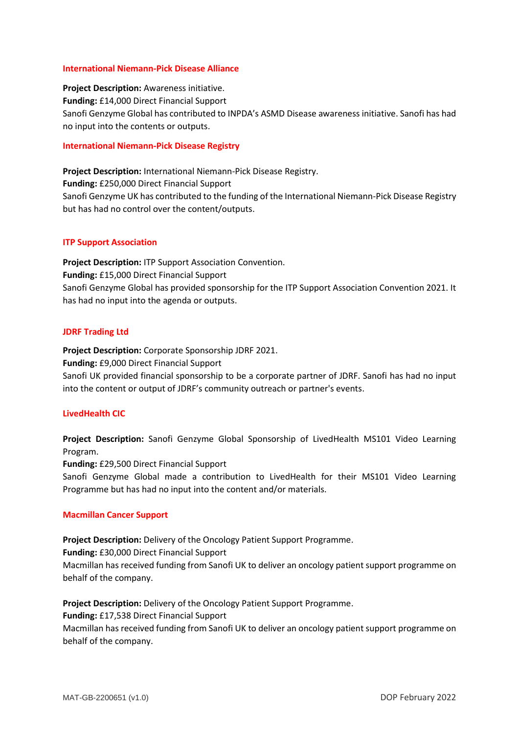#### **International Niemann-Pick Disease Alliance**

**Project Description:** Awareness initiative. **Funding:** £14,000 Direct Financial Support Sanofi Genzyme Global has contributed to INPDA's ASMD Disease awareness initiative. Sanofi has had no input into the contents or outputs.

### **International Niemann-Pick Disease Registry**

**Project Description:** International Niemann-Pick Disease Registry. **Funding:** £250,000 Direct Financial Support Sanofi Genzyme UK has contributed to the funding of the International Niemann-Pick Disease Registry but has had no control over the content/outputs.

#### **ITP Support Association**

**Project Description:** ITP Support Association Convention. **Funding:** £15,000 Direct Financial Support Sanofi Genzyme Global has provided sponsorship for the ITP Support Association Convention 2021. It has had no input into the agenda or outputs.

#### **JDRF Trading Ltd**

**Project Description:** Corporate Sponsorship JDRF 2021.

**Funding:** £9,000 Direct Financial Support

Sanofi UK provided financial sponsorship to be a corporate partner of JDRF. Sanofi has had no input into the content or output of JDRF's community outreach or partner's events.

## **LivedHealth CIC**

**Project Description:** Sanofi Genzyme Global Sponsorship of LivedHealth MS101 Video Learning Program.

**Funding:** £29,500 Direct Financial Support

Sanofi Genzyme Global made a contribution to LivedHealth for their MS101 Video Learning Programme but has had no input into the content and/or materials.

## **Macmillan Cancer Support**

**Project Description:** Delivery of the Oncology Patient Support Programme.

**Funding:** £30,000 Direct Financial Support

Macmillan has received funding from Sanofi UK to deliver an oncology patient support programme on behalf of the company.

**Project Description:** Delivery of the Oncology Patient Support Programme.

#### **Funding:** £17,538 Direct Financial Support

Macmillan has received funding from Sanofi UK to deliver an oncology patient support programme on behalf of the company.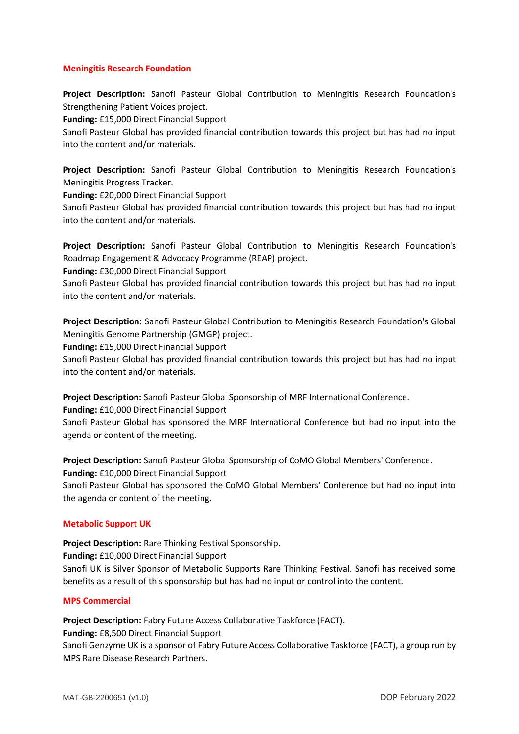## **Meningitis Research Foundation**

**Project Description:** Sanofi Pasteur Global Contribution to Meningitis Research Foundation's Strengthening Patient Voices project.

**Funding:** £15,000 Direct Financial Support

Sanofi Pasteur Global has provided financial contribution towards this project but has had no input into the content and/or materials.

**Project Description:** Sanofi Pasteur Global Contribution to Meningitis Research Foundation's Meningitis Progress Tracker.

**Funding:** £20,000 Direct Financial Support

Sanofi Pasteur Global has provided financial contribution towards this project but has had no input into the content and/or materials.

**Project Description:** Sanofi Pasteur Global Contribution to Meningitis Research Foundation's Roadmap Engagement & Advocacy Programme (REAP) project.

**Funding:** £30,000 Direct Financial Support

Sanofi Pasteur Global has provided financial contribution towards this project but has had no input into the content and/or materials.

**Project Description:** Sanofi Pasteur Global Contribution to Meningitis Research Foundation's Global Meningitis Genome Partnership (GMGP) project.

**Funding:** £15,000 Direct Financial Support

Sanofi Pasteur Global has provided financial contribution towards this project but has had no input into the content and/or materials.

**Project Description:** Sanofi Pasteur Global Sponsorship of MRF International Conference. **Funding:** £10,000 Direct Financial Support

Sanofi Pasteur Global has sponsored the MRF International Conference but had no input into the agenda or content of the meeting.

**Project Description:** Sanofi Pasteur Global Sponsorship of CoMO Global Members' Conference. **Funding:** £10,000 Direct Financial Support

Sanofi Pasteur Global has sponsored the CoMO Global Members' Conference but had no input into the agenda or content of the meeting.

## **Metabolic Support UK**

**Project Description:** Rare Thinking Festival Sponsorship.

**Funding:** £10,000 Direct Financial Support

Sanofi UK is Silver Sponsor of Metabolic Supports Rare Thinking Festival. Sanofi has received some benefits as a result of this sponsorship but has had no input or control into the content.

#### **MPS Commercial**

**Project Description:** Fabry Future Access Collaborative Taskforce (FACT).

**Funding:** £8,500 Direct Financial Support

Sanofi Genzyme UK is a sponsor of Fabry Future Access Collaborative Taskforce (FACT), a group run by MPS Rare Disease Research Partners.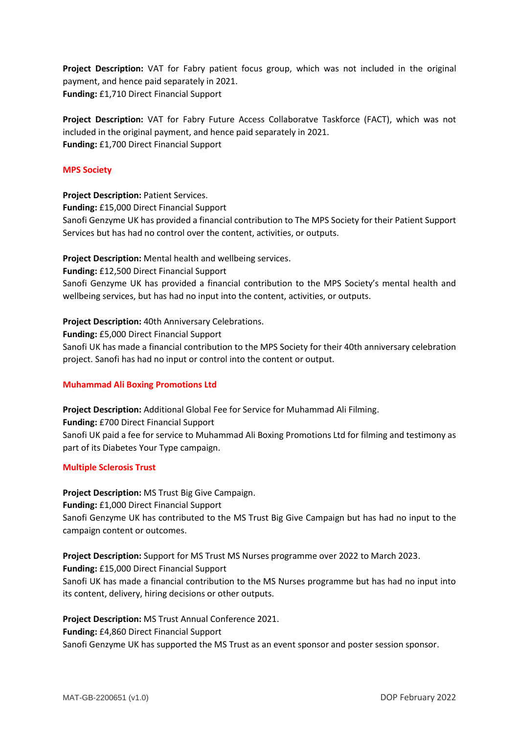**Project Description:** VAT for Fabry patient focus group, which was not included in the original payment, and hence paid separately in 2021. **Funding:** £1,710 Direct Financial Support

**Project Description:** VAT for Fabry Future Access Collaboratve Taskforce (FACT), which was not included in the original payment, and hence paid separately in 2021. **Funding:** £1,700 Direct Financial Support

## **MPS Society**

**Project Description:** Patient Services. **Funding:** £15,000 Direct Financial Support Sanofi Genzyme UK has provided a financial contribution to The MPS Society for their Patient Support Services but has had no control over the content, activities, or outputs.

**Project Description:** Mental health and wellbeing services.

**Funding:** £12,500 Direct Financial Support

Sanofi Genzyme UK has provided a financial contribution to the MPS Society's mental health and wellbeing services, but has had no input into the content, activities, or outputs.

**Project Description:** 40th Anniversary Celebrations.

**Funding:** £5,000 Direct Financial Support

Sanofi UK has made a financial contribution to the MPS Society for their 40th anniversary celebration project. Sanofi has had no input or control into the content or output.

## **Muhammad Ali Boxing Promotions Ltd**

**Project Description:** Additional Global Fee for Service for Muhammad Ali Filming. **Funding:** £700 Direct Financial Support Sanofi UK paid a fee for service to Muhammad Ali Boxing Promotions Ltd for filming and testimony as part of its Diabetes Your Type campaign.

## **Multiple Sclerosis Trust**

**Project Description:** MS Trust Big Give Campaign. **Funding:** £1,000 Direct Financial Support Sanofi Genzyme UK has contributed to the MS Trust Big Give Campaign but has had no input to the campaign content or outcomes.

**Project Description:** Support for MS Trust MS Nurses programme over 2022 to March 2023.

**Funding:** £15,000 Direct Financial Support

Sanofi UK has made a financial contribution to the MS Nurses programme but has had no input into its content, delivery, hiring decisions or other outputs.

**Project Description:** MS Trust Annual Conference 2021.

**Funding:** £4,860 Direct Financial Support

Sanofi Genzyme UK has supported the MS Trust as an event sponsor and poster session sponsor.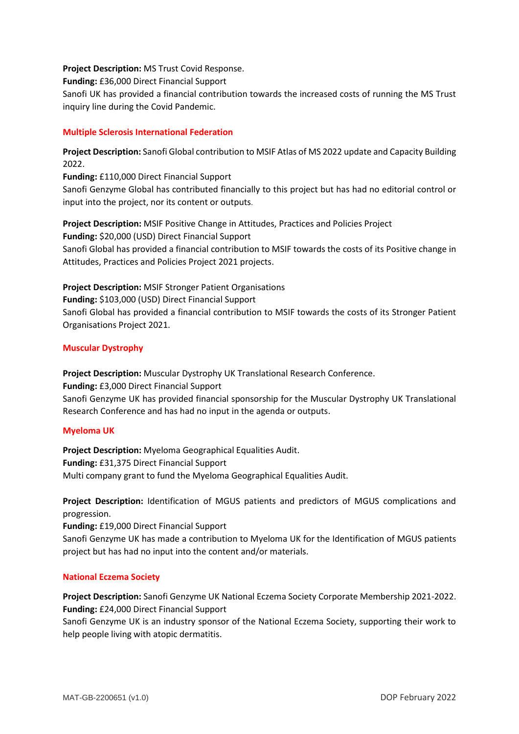**Project Description:** MS Trust Covid Response. **Funding:** £36,000 Direct Financial Support Sanofi UK has provided a financial contribution towards the increased costs of running the MS Trust inquiry line during the Covid Pandemic.

# **Multiple Sclerosis International Federation**

**Project Description:** Sanofi Global contribution to MSIF Atlas of MS 2022 update and Capacity Building 2022.

**Funding:** £110,000 Direct Financial Support

Sanofi Genzyme Global has contributed financially to this project but has had no editorial control or input into the project, nor its content or outputs.

**Project Description:** MSIF Positive Change in Attitudes, Practices and Policies Project **Funding:** \$20,000 (USD) Direct Financial Support Sanofi Global has provided a financial contribution to MSIF towards the costs of its Positive change in Attitudes, Practices and Policies Project 2021 projects.

**Project Description:** MSIF Stronger Patient Organisations **Funding:** \$103,000 (USD) Direct Financial Support Sanofi Global has provided a financial contribution to MSIF towards the costs of its Stronger Patient Organisations Project 2021.

# **Muscular Dystrophy**

**Project Description:** Muscular Dystrophy UK Translational Research Conference. **Funding:** £3,000 Direct Financial Support Sanofi Genzyme UK has provided financial sponsorship for the Muscular Dystrophy UK Translational Research Conference and has had no input in the agenda or outputs.

## **Myeloma UK**

**Project Description:** Myeloma Geographical Equalities Audit. **Funding:** £31,375 Direct Financial Support Multi company grant to fund the Myeloma Geographical Equalities Audit.

**Project Description:** Identification of MGUS patients and predictors of MGUS complications and progression.

**Funding:** £19,000 Direct Financial Support

Sanofi Genzyme UK has made a contribution to Myeloma UK for the Identification of MGUS patients project but has had no input into the content and/or materials.

# **National Eczema Society**

**Project Description:** Sanofi Genzyme UK National Eczema Society Corporate Membership 2021-2022. **Funding:** £24,000 Direct Financial Support

Sanofi Genzyme UK is an industry sponsor of the National Eczema Society, supporting their work to help people living with atopic dermatitis.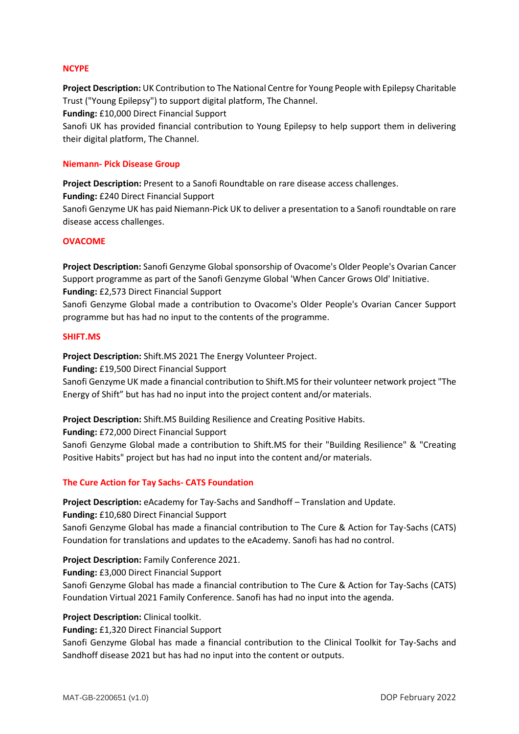### **NCYPE**

**Project Description:** UK Contribution to The National Centre for Young People with Epilepsy Charitable Trust ("Young Epilepsy") to support digital platform, The Channel.

**Funding:** £10,000 Direct Financial Support

Sanofi UK has provided financial contribution to Young Epilepsy to help support them in delivering their digital platform, The Channel.

### **Niemann- Pick Disease Group**

**Project Description:** Present to a Sanofi Roundtable on rare disease access challenges. **Funding:** £240 Direct Financial Support

Sanofi Genzyme UK has paid Niemann-Pick UK to deliver a presentation to a Sanofi roundtable on rare disease access challenges.

## **OVACOME**

**Project Description:** Sanofi Genzyme Global sponsorship of Ovacome's Older People's Ovarian Cancer Support programme as part of the Sanofi Genzyme Global 'When Cancer Grows Old' Initiative. **Funding:** £2,573 Direct Financial Support

Sanofi Genzyme Global made a contribution to Ovacome's Older People's Ovarian Cancer Support programme but has had no input to the contents of the programme.

### **SHIFT.MS**

**Project Description:** Shift.MS 2021 The Energy Volunteer Project.

**Funding:** £19,500 Direct Financial Support

Sanofi Genzyme UK made a financial contribution to Shift.MS for their volunteer network project "The Energy of Shift" but has had no input into the project content and/or materials.

**Project Description:** Shift.MS Building Resilience and Creating Positive Habits.

**Funding:** £72,000 Direct Financial Support

Sanofi Genzyme Global made a contribution to Shift.MS for their "Building Resilience" & "Creating Positive Habits" project but has had no input into the content and/or materials.

## **The Cure Action for Tay Sachs- CATS Foundation**

**Project Description:** eAcademy for Tay-Sachs and Sandhoff – Translation and Update.

**Funding:** £10,680 Direct Financial Support

Sanofi Genzyme Global has made a financial contribution to The Cure & Action for Tay-Sachs (CATS) Foundation for translations and updates to the eAcademy. Sanofi has had no control.

## **Project Description:** Family Conference 2021.

**Funding:** £3,000 Direct Financial Support

Sanofi Genzyme Global has made a financial contribution to The Cure & Action for Tay-Sachs (CATS) Foundation Virtual 2021 Family Conference. Sanofi has had no input into the agenda.

## **Project Description:** Clinical toolkit.

**Funding:** £1,320 Direct Financial Support

Sanofi Genzyme Global has made a financial contribution to the Clinical Toolkit for Tay-Sachs and Sandhoff disease 2021 but has had no input into the content or outputs.